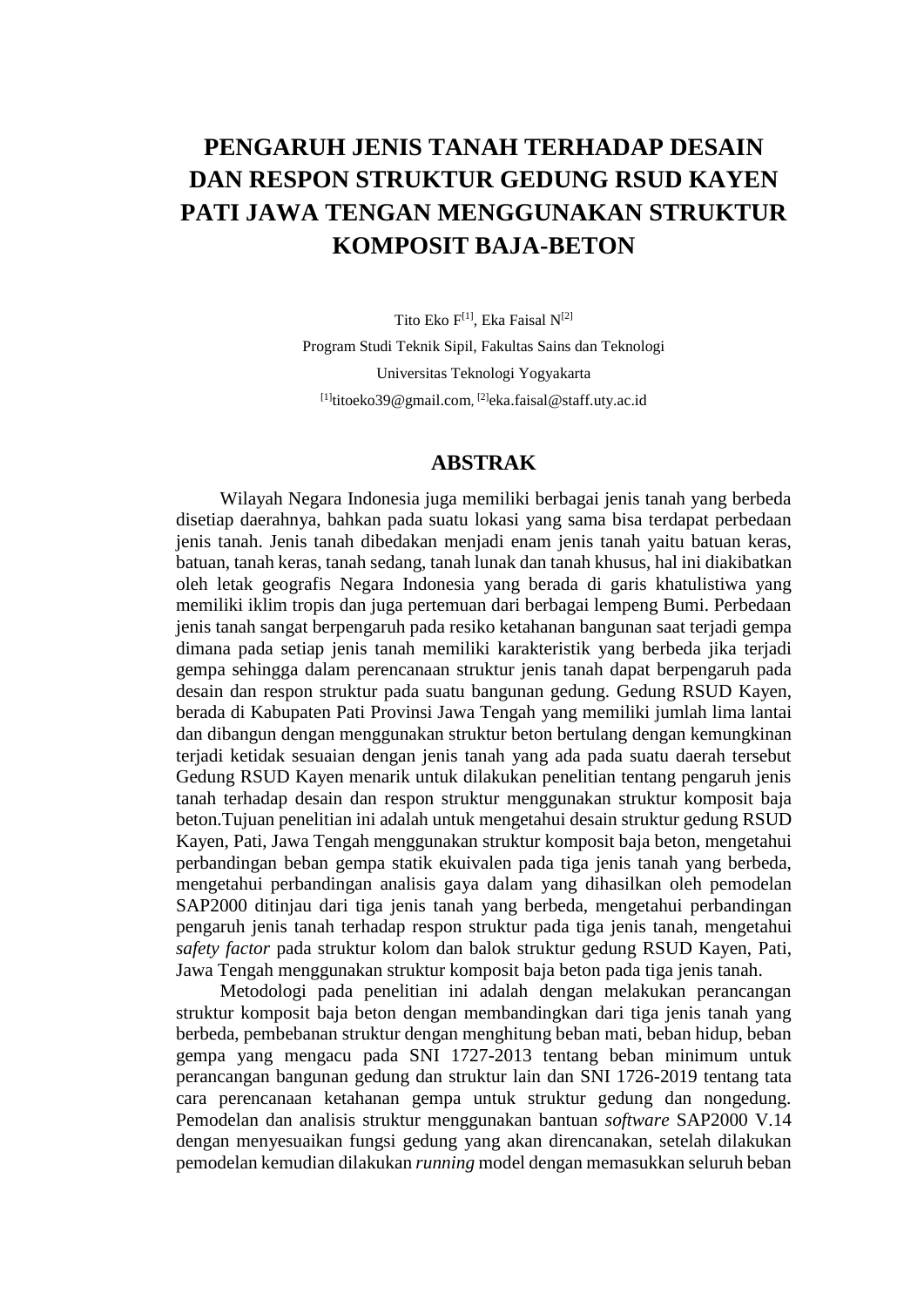# **PENGARUH JENIS TANAH TERHADAP DESAIN DAN RESPON STRUKTUR GEDUNG RSUD KAYEN PATI JAWA TENGAN MENGGUNAKAN STRUKTUR KOMPOSIT BAJA-BETON**

Tito Eko F<sup>[1]</sup>, Eka Faisal N<sup>[2]</sup> Program Studi Teknik Sipil, Fakultas Sains dan Teknologi Universitas Teknologi Yogyakarta <sup>[1]</sup>[titoeko39@gmail.com](mailto:titoeko39@gmail.com), <sup>[2]</sup>[eka.faisal@staff.uty.ac.id](mailto:eka.faisal@staff.uty.ac.id)

### **ABSTRAK**

Wilayah Negara Indonesia juga memiliki berbagai jenis tanah yang berbeda disetiap daerahnya, bahkan pada suatu lokasi yang sama bisa terdapat perbedaan jenis tanah. Jenis tanah dibedakan menjadi enam jenis tanah yaitu batuan keras, batuan, tanah keras, tanah sedang, tanah lunak dan tanah khusus, hal ini diakibatkan oleh letak geografis Negara Indonesia yang berada di garis khatulistiwa yang memiliki iklim tropis dan juga pertemuan dari berbagai lempeng Bumi. Perbedaan jenis tanah sangat berpengaruh pada resiko ketahanan bangunan saat terjadi gempa dimana pada setiap jenis tanah memiliki karakteristik yang berbeda jika terjadi gempa sehingga dalam perencanaan struktur jenis tanah dapat berpengaruh pada desain dan respon struktur pada suatu bangunan gedung. Gedung RSUD Kayen, berada di Kabupaten Pati Provinsi Jawa Tengah yang memiliki jumlah lima lantai dan dibangun dengan menggunakan struktur beton bertulang dengan kemungkinan terjadi ketidak sesuaian dengan jenis tanah yang ada pada suatu daerah tersebut Gedung RSUD Kayen menarik untuk dilakukan penelitian tentang pengaruh jenis tanah terhadap desain dan respon struktur menggunakan struktur komposit baja beton.Tujuan penelitian ini adalah untuk mengetahui desain struktur gedung RSUD Kayen, Pati, Jawa Tengah menggunakan struktur komposit baja beton, mengetahui perbandingan beban gempa statik ekuivalen pada tiga jenis tanah yang berbeda, mengetahui perbandingan analisis gaya dalam yang dihasilkan oleh pemodelan SAP2000 ditinjau dari tiga jenis tanah yang berbeda, mengetahui perbandingan pengaruh jenis tanah terhadap respon struktur pada tiga jenis tanah, mengetahui *safety factor* pada struktur kolom dan balok struktur gedung RSUD Kayen, Pati, Jawa Tengah menggunakan struktur komposit baja beton pada tiga jenis tanah.

Metodologi pada penelitian ini adalah dengan melakukan perancangan struktur komposit baja beton dengan membandingkan dari tiga jenis tanah yang berbeda, pembebanan struktur dengan menghitung beban mati, beban hidup, beban gempa yang mengacu pada SNI 1727-2013 tentang beban minimum untuk perancangan bangunan gedung dan struktur lain dan SNI 1726-2019 tentang tata cara perencanaan ketahanan gempa untuk struktur gedung dan nongedung. Pemodelan dan analisis struktur menggunakan bantuan *software* SAP2000 V.14 dengan menyesuaikan fungsi gedung yang akan direncanakan, setelah dilakukan pemodelan kemudian dilakukan *running* model dengan memasukkan seluruh beban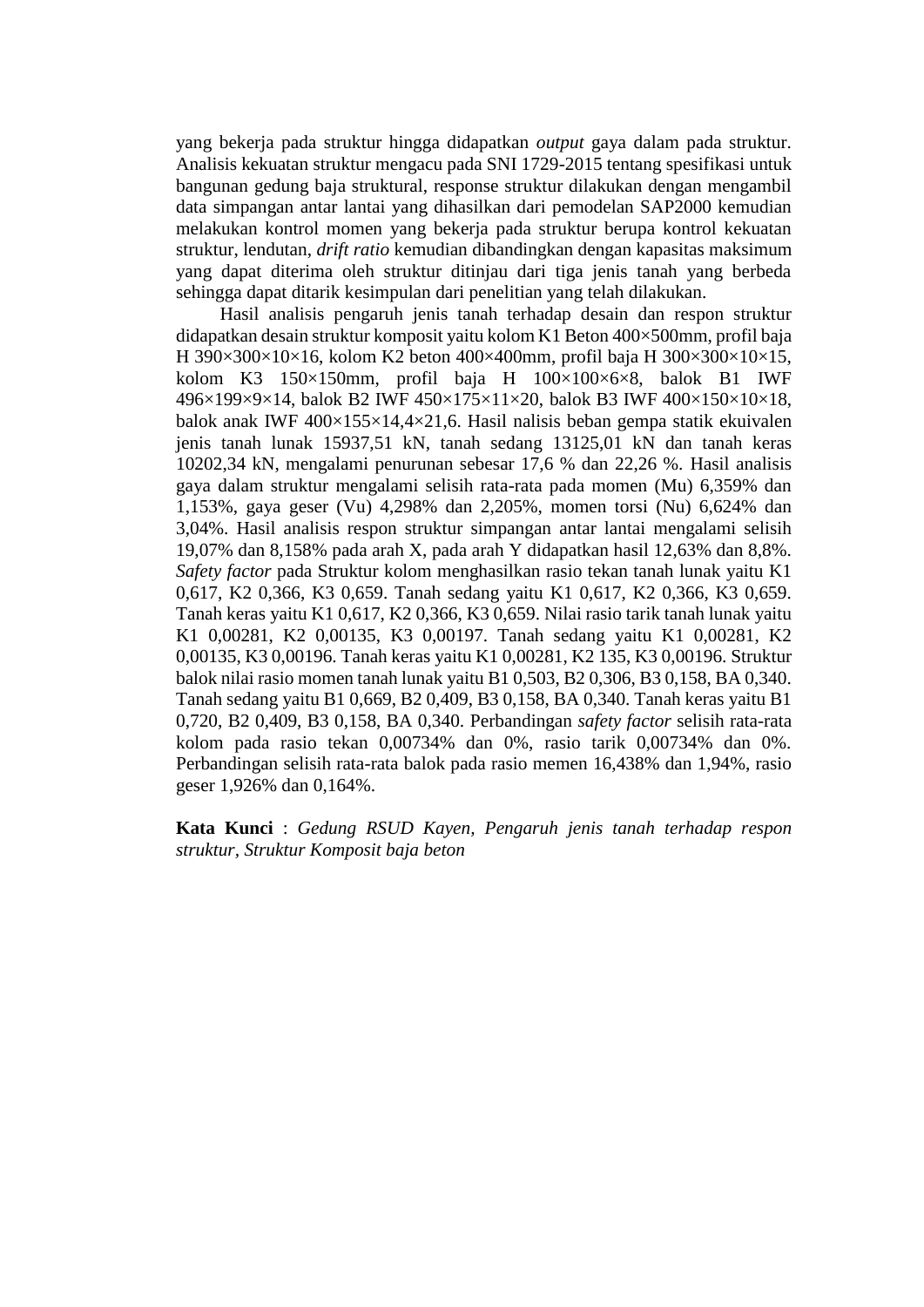yang bekerja pada struktur hingga didapatkan *output* gaya dalam pada struktur. Analisis kekuatan struktur mengacu pada SNI 1729-2015 tentang spesifikasi untuk bangunan gedung baja struktural, response struktur dilakukan dengan mengambil data simpangan antar lantai yang dihasilkan dari pemodelan SAP2000 kemudian melakukan kontrol momen yang bekerja pada struktur berupa kontrol kekuatan struktur, lendutan, *drift ratio* kemudian dibandingkan dengan kapasitas maksimum yang dapat diterima oleh struktur ditinjau dari tiga jenis tanah yang berbeda sehingga dapat ditarik kesimpulan dari penelitian yang telah dilakukan.

Hasil analisis pengaruh jenis tanah terhadap desain dan respon struktur didapatkan desain struktur komposit yaitu kolom K1 Beton 400×500mm, profil baja H 390×300×10×16, kolom K2 beton 400×400mm, profil baja H 300×300×10×15, kolom K3 150×150mm, profil baja H 100×100×6×8, balok B1 IWF 496×199×9×14, balok B2 IWF 450×175×11×20, balok B3 IWF 400×150×10×18, balok anak IWF  $400\times155\times14.4\times21.6$ . Hasil nalisis beban gempa statik ekuivalen jenis tanah lunak 15937,51 kN, tanah sedang 13125,01 kN dan tanah keras 10202,34 kN, mengalami penurunan sebesar 17,6 % dan 22,26 %. Hasil analisis gaya dalam struktur mengalami selisih rata-rata pada momen (Mu) 6,359% dan 1,153%, gaya geser (Vu) 4,298% dan 2,205%, momen torsi (Nu) 6,624% dan 3,04%. Hasil analisis respon struktur simpangan antar lantai mengalami selisih 19,07% dan 8,158% pada arah X, pada arah Y didapatkan hasil 12,63% dan 8,8%. *Safety factor* pada Struktur kolom menghasilkan rasio tekan tanah lunak yaitu K1 0,617, K2 0,366, K3 0,659. Tanah sedang yaitu K1 0,617, K2 0,366, K3 0,659. Tanah keras yaitu K1 0,617, K2 0,366, K3 0,659. Nilai rasio tarik tanah lunak yaitu K1 0,00281, K2 0,00135, K3 0,00197. Tanah sedang yaitu K1 0,00281, K2 0,00135, K3 0,00196. Tanah keras yaitu K1 0,00281, K2 135, K3 0,00196. Struktur balok nilai rasio momen tanah lunak yaitu B1 0,503, B2 0,306, B3 0,158, BA 0,340. Tanah sedang yaitu B1 0,669, B2 0,409, B3 0,158, BA 0,340. Tanah keras yaitu B1 0,720, B2 0,409, B3 0,158, BA 0,340. Perbandingan *safety factor* selisih rata-rata kolom pada rasio tekan 0,00734% dan 0%, rasio tarik 0,00734% dan 0%. Perbandingan selisih rata-rata balok pada rasio memen 16,438% dan 1,94%, rasio geser 1,926% dan 0,164%.

**Kata Kunci** : *Gedung RSUD Kayen, Pengaruh jenis tanah terhadap respon struktur, Struktur Komposit baja beton*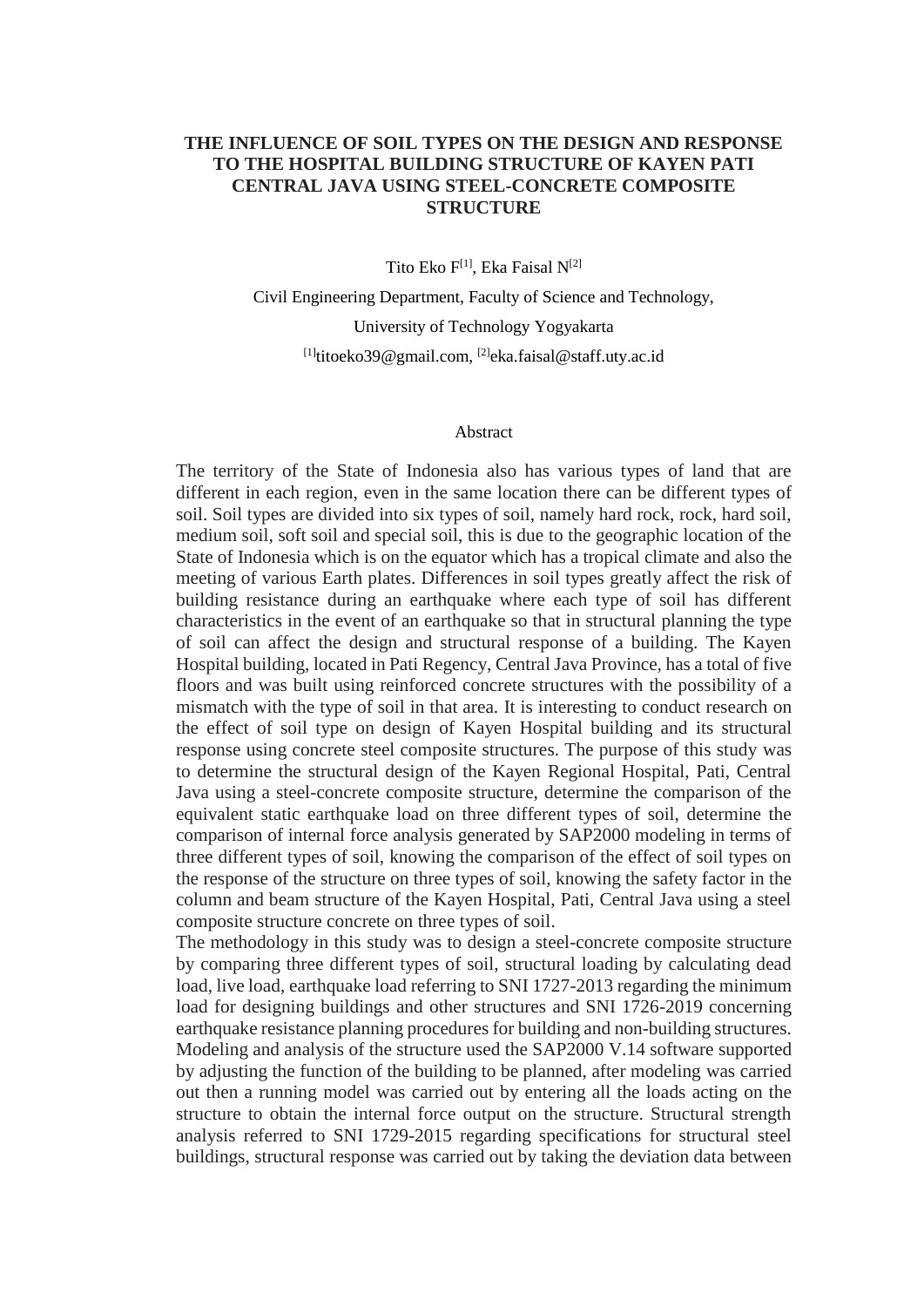## **THE INFLUENCE OF SOIL TYPES ON THE DESIGN AND RESPONSE TO THE HOSPITAL BUILDING STRUCTURE OF KAYEN PATI CENTRAL JAVA USING STEEL-CONCRETE COMPOSITE STRUCTURE**

Tito Eko F<sup>[1]</sup>, Eka Faisal N<sup>[2]</sup>

Civil Engineering Department, Faculty of Science and Technology, University of Technology Yogyakarta <sup>[1]</sup>[titoeko39@gmail.com,](mailto:titoeko39@gmail.com) <sup>[2]</sup>[eka.faisal@staff.uty.ac.id](mailto:eka.faisal@staff.uty.ac.id)

#### Abstract

The territory of the State of Indonesia also has various types of land that are different in each region, even in the same location there can be different types of soil. Soil types are divided into six types of soil, namely hard rock, rock, hard soil, medium soil, soft soil and special soil, this is due to the geographic location of the State of Indonesia which is on the equator which has a tropical climate and also the meeting of various Earth plates. Differences in soil types greatly affect the risk of building resistance during an earthquake where each type of soil has different characteristics in the event of an earthquake so that in structural planning the type of soil can affect the design and structural response of a building. The Kayen Hospital building, located in Pati Regency, Central Java Province, has a total of five floors and was built using reinforced concrete structures with the possibility of a mismatch with the type of soil in that area. It is interesting to conduct research on the effect of soil type on design of Kayen Hospital building and its structural response using concrete steel composite structures. The purpose of this study was to determine the structural design of the Kayen Regional Hospital, Pati, Central Java using a steel-concrete composite structure, determine the comparison of the equivalent static earthquake load on three different types of soil, determine the comparison of internal force analysis generated by SAP2000 modeling in terms of three different types of soil, knowing the comparison of the effect of soil types on the response of the structure on three types of soil, knowing the safety factor in the column and beam structure of the Kayen Hospital, Pati, Central Java using a steel composite structure concrete on three types of soil.

The methodology in this study was to design a steel-concrete composite structure by comparing three different types of soil, structural loading by calculating dead load, live load, earthquake load referring to SNI 1727-2013 regarding the minimum load for designing buildings and other structures and SNI 1726-2019 concerning earthquake resistance planning procedures for building and non-building structures. Modeling and analysis of the structure used the SAP2000 V.14 software supported by adjusting the function of the building to be planned, after modeling was carried out then a running model was carried out by entering all the loads acting on the structure to obtain the internal force output on the structure. Structural strength analysis referred to SNI 1729-2015 regarding specifications for structural steel buildings, structural response was carried out by taking the deviation data between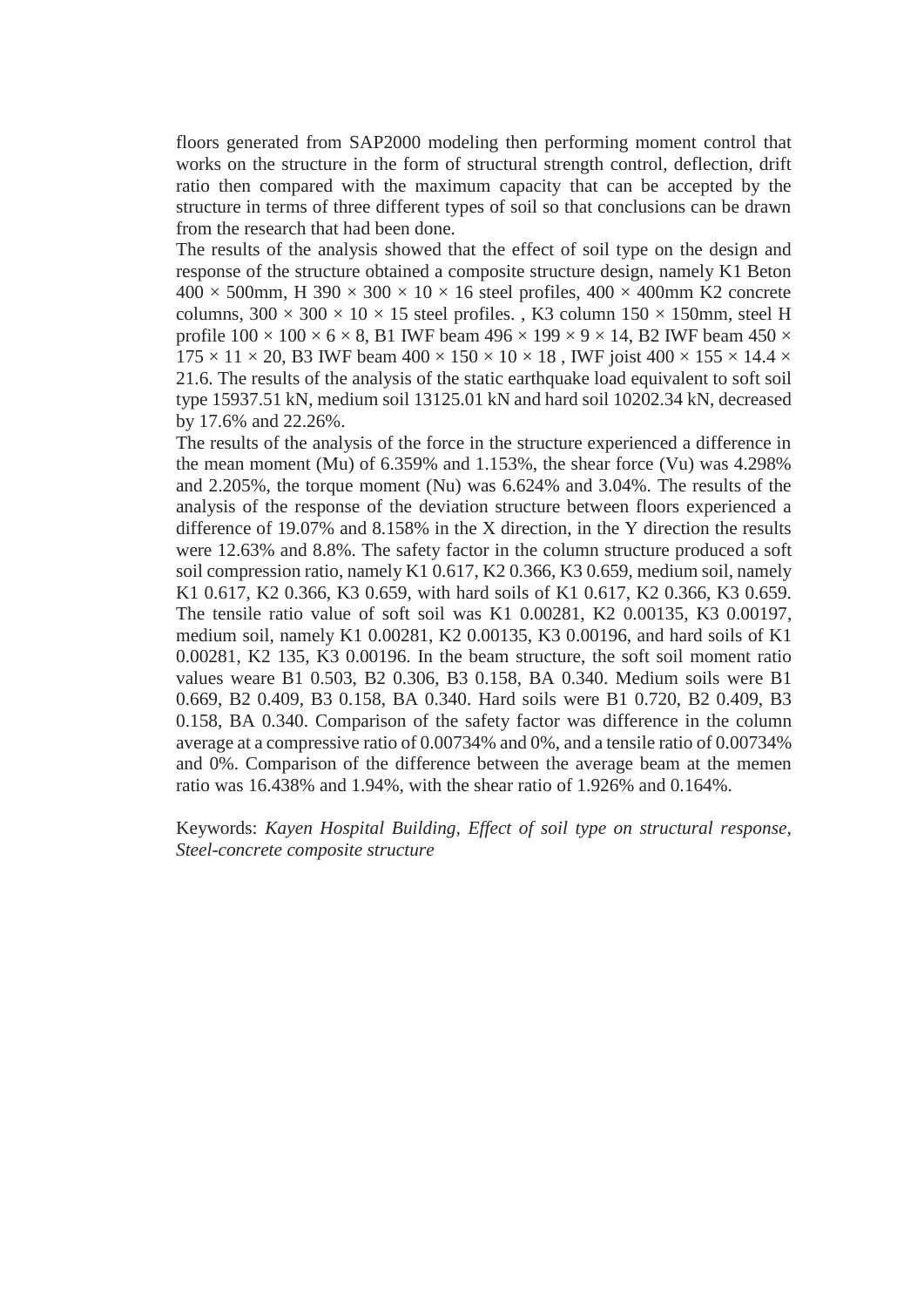floors generated from SAP2000 modeling then performing moment control that works on the structure in the form of structural strength control, deflection, drift ratio then compared with the maximum capacity that can be accepted by the structure in terms of three different types of soil so that conclusions can be drawn from the research that had been done.

The results of the analysis showed that the effect of soil type on the design and response of the structure obtained a composite structure design, namely K1 Beton  $400 \times 500$ mm, H 390  $\times 300 \times 10 \times 16$  steel profiles,  $400 \times 400$ mm K2 concrete columns,  $300 \times 300 \times 10 \times 15$  steel profiles., K3 column  $150 \times 150$ mm, steel H profile  $100 \times 100 \times 6 \times 8$ , B1 IWF beam  $496 \times 199 \times 9 \times 14$ , B2 IWF beam  $450 \times$  $175 \times 11 \times 20$ , B3 IWF beam  $400 \times 150 \times 10 \times 18$ , IWF joist  $400 \times 155 \times 14.4 \times$ 21.6. The results of the analysis of the static earthquake load equivalent to soft soil type 15937.51 kN, medium soil 13125.01 kN and hard soil 10202.34 kN, decreased by 17.6% and 22.26%.

The results of the analysis of the force in the structure experienced a difference in the mean moment (Mu) of 6.359% and 1.153%, the shear force (Vu) was 4.298% and 2.205%, the torque moment (Nu) was 6.624% and 3.04%. The results of the analysis of the response of the deviation structure between floors experienced a difference of 19.07% and 8.158% in the X direction, in the Y direction the results were 12.63% and 8.8%. The safety factor in the column structure produced a soft soil compression ratio, namely K1 0.617, K2 0.366, K3 0.659, medium soil, namely K1 0.617, K2 0.366, K3 0.659, with hard soils of K1 0.617, K2 0.366, K3 0.659. The tensile ratio value of soft soil was K1 0.00281, K2 0.00135, K3 0.00197, medium soil, namely K1 0.00281, K2 0.00135, K3 0.00196, and hard soils of K1 0.00281, K2 135, K3 0.00196. In the beam structure, the soft soil moment ratio values weare B1 0.503, B2 0.306, B3 0.158, BA 0.340. Medium soils were B1 0.669, B2 0.409, B3 0.158, BA 0.340. Hard soils were B1 0.720, B2 0.409, B3 0.158, BA 0.340. Comparison of the safety factor was difference in the column average at a compressive ratio of 0.00734% and 0%, and a tensile ratio of 0.00734% and 0%. Comparison of the difference between the average beam at the memen ratio was 16.438% and 1.94%, with the shear ratio of 1.926% and 0.164%.

Keywords: *Kayen Hospital Building, Effect of soil type on structural response, Steel-concrete composite structure*